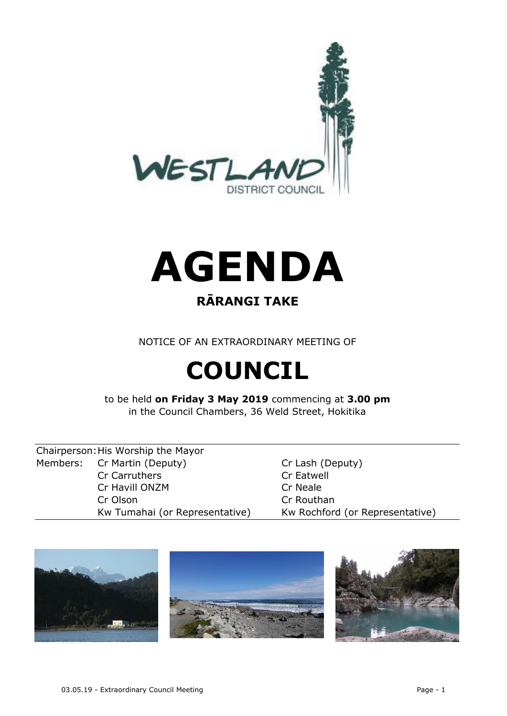



### **RĀRANGI TAKE**

NOTICE OF AN EXTRAORDINARY MEETING OF

# **COUNCIL**

to be held **on Friday 3 May 2019** commencing at **3.00 pm** in the Council Chambers, 36 Weld Street, Hokitika

Chairperson:His Worship the Mayor Members: Cr Martin (Deputy) Cr Lash (Deputy) Cr Carruthers Cr Eatwell Cr Havill ONZM Cr Neale Cr Olson Cr Routhan

Kw Tumahai (or Representative) Kw Rochford (or Representative)

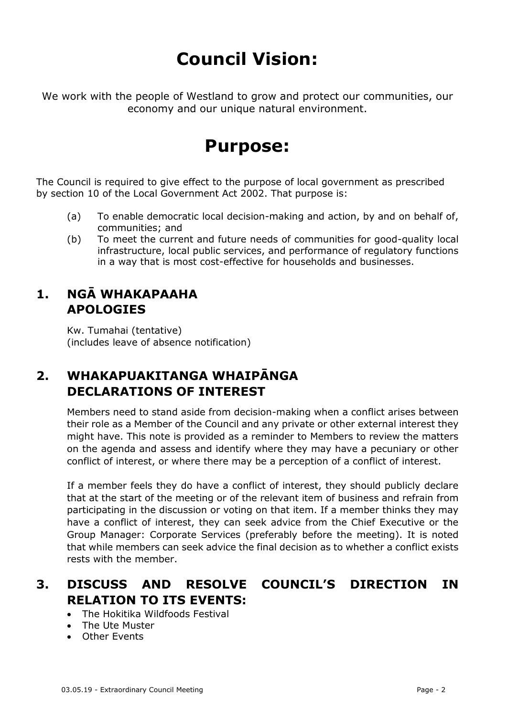## **Council Vision:**

We work with the people of Westland to grow and protect our communities, our economy and our unique natural environment.

## **Purpose:**

The Council is required to give effect to the purpose of local government as prescribed by section 10 of the Local Government Act 2002. That purpose is:

- (a) To enable democratic local decision-making and action, by and on behalf of, communities; and
- (b) To meet the current and future needs of communities for good-quality local infrastructure, local public services, and performance of regulatory functions in a way that is most cost-effective for households and businesses.

#### **1. NGĀ WHAKAPAAHA APOLOGIES**

Kw. Tumahai (tentative) (includes leave of absence notification)

#### **2. WHAKAPUAKITANGA WHAIPĀNGA DECLARATIONS OF INTEREST**

Members need to stand aside from decision-making when a conflict arises between their role as a Member of the Council and any private or other external interest they might have. This note is provided as a reminder to Members to review the matters on the agenda and assess and identify where they may have a pecuniary or other conflict of interest, or where there may be a perception of a conflict of interest.

If a member feels they do have a conflict of interest, they should publicly declare that at the start of the meeting or of the relevant item of business and refrain from participating in the discussion or voting on that item. If a member thinks they may have a conflict of interest, they can seek advice from the Chief Executive or the Group Manager: Corporate Services (preferably before the meeting). It is noted that while members can seek advice the final decision as to whether a conflict exists rests with the member.

#### **3. DISCUSS AND RESOLVE COUNCIL'S DIRECTION IN RELATION TO ITS EVENTS:**

- The Hokitika Wildfoods Festival
- The Ute Muster
- Other Events